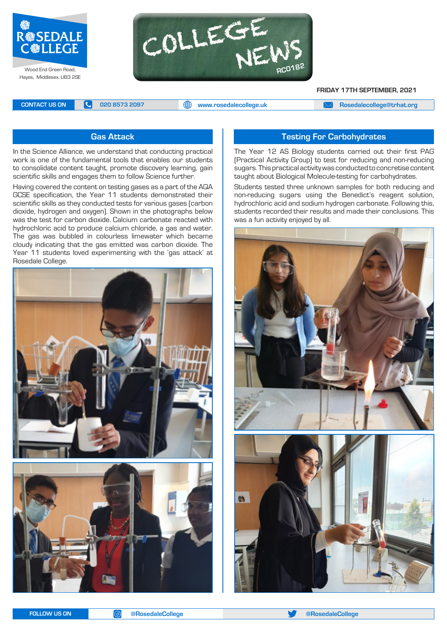

Hayes, Middlesex, UB3 2SE



**FRIDAY 17TH SEPTEMBER, 2021**

**CONTACT US ON <b>C** 020 8573 2097 **C** 020 8573 2097 **CONTACT US ON EXAM [Rosedalecollege@trhat.org](mailto:Rosedalecollege@trhat.org)** 

## **Gas Attack**

In the Science Alliance, we understand that conducting practical work is one of the fundamental tools that enables our students to consolidate content taught, promote discovery learning, gain scientific skills and engages them to follow Science further.

Having covered the content on testing gases as a part of the AQA GCSE specification, the Year 11 students demonstrated their scientific skills as they conducted tests for various gases (carbon dioxide, hydrogen and oxygen). Shown in the photographs below was the test for carbon dioxide. Calcium carbonate reacted with hydrochloric acid to produce calcium chloride, a gas and water. The gas was bubbled in colourless limewater which became cloudy indicating that the gas emitted was carbon dioxide. The Year 11 students loved experimenting with the 'gas attack' at Rosedale College.





# **Testing For Carbohydrates**

The Year 12 AS Biology students carried out their first PAG (Practical Activity Group) to test for reducing and non-reducing sugars. This practical activity was conducted to concretise content taught about Biological Molecule-testing for carbohydrates.

Students tested three unknown samples for both reducing and non-reducing sugars using the Benedict's reagent solution, hydrochloric acid and sodium hydrogen carbonate. Following this, students recorded their results and made their conclusions. This was a fun activity enjoyed by all.